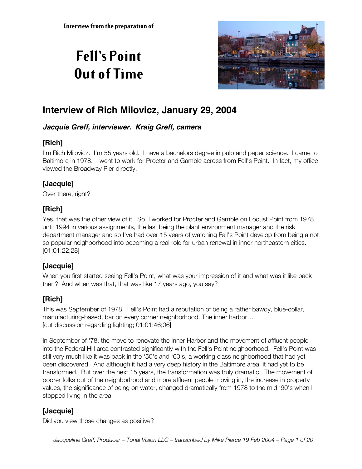# **Fell's Point Out of Time**



## **Interview of Rich Milovicz, January 29, 2004**

#### **Jacquie Greff, interviewer. Kraig Greff, camera**

## **[Rich]**

I'm Rich Milovicz. I'm 55 years old. I have a bachelors degree in pulp and paper science. I came to Baltimore in 1978. I went to work for Procter and Gamble across from Fell's Point. In fact, my office viewed the Broadway Pier directly.

#### **[Jacquie]**

Over there, right?

## **[Rich]**

Yes, that was the other view of it. So, I worked for Procter and Gamble on Locust Point from 1978 until 1994 in various assignments, the last being the plant environment manager and the risk department manager and so I've had over 15 years of watching Fall's Point develop from being a not so popular neighborhood into becoming a real role for urban renewal in inner northeastern cities. [01:01:22;28]

## **[Jacquie]**

When you first started seeing Fell's Point, what was your impression of it and what was it like back then? And when was that, that was like 17 years ago, you say?

## **[Rich]**

This was September of 1978. Fell's Point had a reputation of being a rather bawdy, blue-collar, manufacturing-based, bar on every corner neighborhood. The inner harbor… [cut discussion regarding lighting; 01:01:46;06]

In September of '78, the move to renovate the Inner Harbor and the movement of affluent people into the Federal Hill area contrasted significantly with the Fell's Point neighborhood. Fell's Point was still very much like it was back in the '50's and '60's, a working class neighborhood that had yet been discovered. And although it had a very deep history in the Baltimore area, it had yet to be transformed. But over the next 15 years, the transformation was truly dramatic. The movement of poorer folks out of the neighborhood and more affluent people moving in, the increase in property values, the significance of being on water, changed dramatically from 1978 to the mid '90's when I stopped living in the area.

## **[Jacquie]**

Did you view those changes as positive?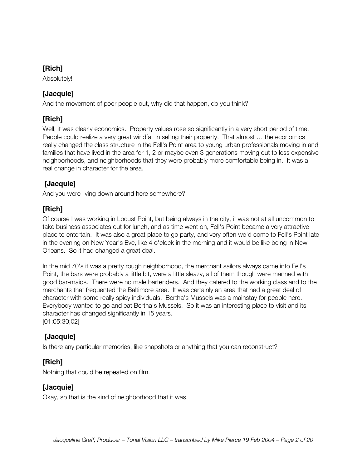Absolutely!

## **[Jacquie]**

And the movement of poor people out, why did that happen, do you think?

## **[Rich]**

Well, it was clearly economics. Property values rose so significantly in a very short period of time. People could realize a very great windfall in selling their property. That almost … the economics really changed the class structure in the Fell's Point area to young urban professionals moving in and families that have lived in the area for 1, 2 or maybe even 3 generations moving out to less expensive neighborhoods, and neighborhoods that they were probably more comfortable being in. It was a real change in character for the area.

#### **[Jacquie]**

And you were living down around here somewhere?

## **[Rich]**

Of course I was working in Locust Point, but being always in the city, it was not at all uncommon to take business associates out for lunch, and as time went on, Fell's Point became a very attractive place to entertain. It was also a great place to go party, and very often we'd come to Fell's Point late in the evening on New Year's Eve, like 4 o'clock in the morning and it would be like being in New Orleans. So it had changed a great deal.

In the mid 70's it was a pretty rough neighborhood, the merchant sailors always came into Fell's Point, the bars were probably a little bit, were a little sleazy, all of them though were manned with good bar-maids. There were no male bartenders. And they catered to the working class and to the merchants that frequented the Baltimore area. It was certainly an area that had a great deal of character with some really spicy individuals. Bertha's Mussels was a mainstay for people here. Everybody wanted to go and eat Bertha's Mussels. So it was an interesting place to visit and its character has changed significantly in 15 years. [01:05:30;02]

## **[Jacquie]**

Is there any particular memories, like snapshots or anything that you can reconstruct?

## **[Rich]**

Nothing that could be repeated on film.

#### **[Jacquie]**

Okay, so that is the kind of neighborhood that it was.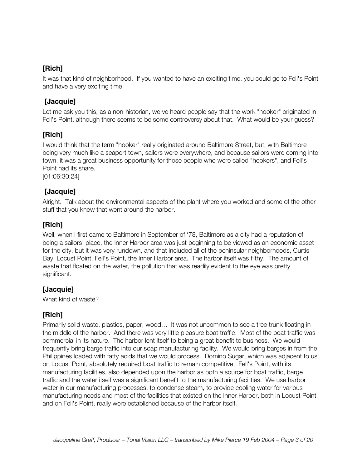It was that kind of neighborhood. If you wanted to have an exciting time, you could go to Fell's Point and have a very exciting time.

## **[Jacquie]**

Let me ask you this, as a non-historian, we've heard people say that the work "hooker" originated in Fell's Point, although there seems to be some controversy about that. What would be your guess?

## **[Rich]**

I would think that the term "hooker" really originated around Baltimore Street, but, with Baltimore being very much like a seaport town, sailors were everywhere, and because sailors were coming into town, it was a great business opportunity for those people who were called "hookers", and Fell's Point had its share.

[01:06:30;24]

#### **[Jacquie]**

Alright. Talk about the environmental aspects of the plant where you worked and some of the other stuff that you knew that went around the harbor.

#### **[Rich]**

Well, when I first came to Baltimore in September of '78, Baltimore as a city had a reputation of being a sailors' place, the Inner Harbor area was just beginning to be viewed as an economic asset for the city, but it was very rundown, and that included all of the peninsular neighborhoods, Curtis Bay, Locust Point, Fell's Point, the Inner Harbor area. The harbor itself was filthy. The amount of waste that floated on the water, the pollution that was readily evident to the eye was pretty significant.

## **[Jacquie]**

What kind of waste?

## **[Rich]**

Primarily solid waste, plastics, paper, wood… It was not uncommon to see a tree trunk floating in the middle of the harbor. And there was very little pleasure boat traffic. Most of the boat traffic was commercial in its nature. The harbor lent itself to being a great benefit to business. We would frequently bring barge traffic into our soap manufacturing facility. We would bring barges in from the Philippines loaded with fatty acids that we would process. Domino Sugar, which was adjacent to us on Locust Point, absolutely required boat traffic to remain competitive. Fell's Point, with its manufacturing facilities, also depended upon the harbor as both a source for boat traffic, barge traffic and the water itself was a significant benefit to the manufacturing facilities. We use harbor water in our manufacturing processes, to condense steam, to provide cooling water for various manufacturing needs and most of the facilities that existed on the Inner Harbor, both in Locust Point and on Fell's Point, really were established because of the harbor itself.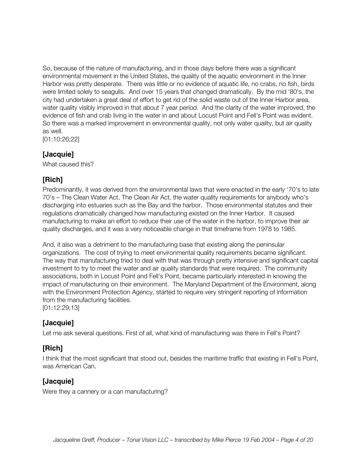So, because of the nature of manufacturing, and in those days before there was a significant environmental movement in the United States, the quality of the aquatic environment in the Inner Harbor was pretty desperate. There was little or no evidence of aquatic life, no crabs, no fish, birds were limited solely to seagulls. And over 15 years that changed dramatically. By the mid '80's, the city had undertaken a great deal of effort to get rid of the solid waste out of the Inner Harbor area, water quality visibly improved in that about 7 year period. And the clarity of the water improved, the evidence of fish and crab living in the water in and about Locust Point and Fell's Point was evident. So there was a marked improvement in environmental quality, not only water quality, but air quality as well.

[01:10:26;22]

#### **[Jacquie]**

What caused this?

## **[Rich]**

Predominantly, it was derived from the environmental laws that were enacted in the early '70's to late 70's – The Clean Water Act, The Clean Air Act, the water quality requirements for anybody who's discharging into estuaries such as the Bay and the harbor. Those environmental statutes and their regulations dramatically changed how manufacturing existed on the Inner Harbor. It caused manufacturing to make an effort to reduce their use of the water in the harbor, to improve their air quality discharges, and it was a very noticeable change in that timeframe from 1978 to 1985.

And, it also was a detriment to the manufacturing base that existing along the peninsular organizations. The cost of trying to meet environmental quality requirements became significant. The way that manufacturing tried to deal with that was through pretty intensive and significant capital investment to try to meet the water and air quality standards that were required. The community associations, both in Locust Point and Fell's Point, became particularly interested in knowing the impact of manufacturing on their environment. The Maryland Department of the Environment, along with the Environment Protection Agency, started to require very stringent reporting of information from the manufacturing facilities. [01:12:29;13]

#### **[Jacquie]**

Let me ask several questions. First of all, what kind of manufacturing was there in Fell's Point?

## **[Rich]**

I think that the most significant that stood out, besides the maritime traffic that existing in Fell's Point, was American Can.

#### **[Jacquie]**

Were they a cannery or a can manufacturing?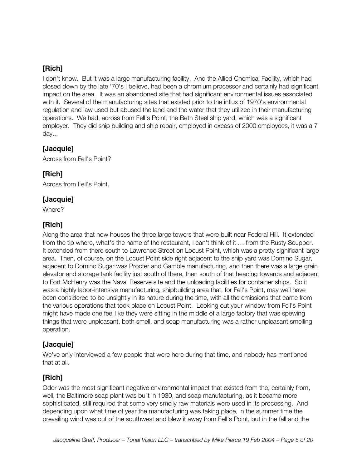I don't know. But it was a large manufacturing facility. And the Allied Chemical Facility, which had closed down by the late '70's I believe, had been a chromium processor and certainly had significant impact on the area. It was an abandoned site that had significant environmental issues associated with it. Several of the manufacturing sites that existed prior to the influx of 1970's environmental regulation and law used but abused the land and the water that they utilized in their manufacturing operations. We had, across from Fell's Point, the Beth Steel ship yard, which was a significant employer. They did ship building and ship repair, employed in excess of 2000 employees, it was a 7 day...

#### **[Jacquie]**

Across from Fell's Point?

#### **[Rich]**

Across from Fell's Point.

#### **[Jacquie]**

Where?

#### **[Rich]**

Along the area that now houses the three large towers that were built near Federal Hill. It extended from the tip where, what's the name of the restaurant, I can't think of it … from the Rusty Scupper. It extended from there south to Lawrence Street on Locust Point, which was a pretty significant large area. Then, of course, on the Locust Point side right adjacent to the ship yard was Domino Sugar, adjacent to Domino Sugar was Procter and Gamble manufacturing, and then there was a large grain elevator and storage tank facility just south of there, then south of that heading towards and adjacent to Fort McHenry was the Naval Reserve site and the unloading facilities for container ships. So it was a highly labor-intensive manufacturing, shipbuilding area that, for Fell's Point, may well have been considered to be unsightly in its nature during the time, with all the emissions that came from the various operations that took place on Locust Point. Looking out your window from Fell's Point might have made one feel like they were sitting in the middle of a large factory that was spewing things that were unpleasant, both smell, and soap manufacturing was a rather unpleasant smelling operation.

## **[Jacquie]**

We've only interviewed a few people that were here during that time, and nobody has mentioned that at all.

## **[Rich]**

Odor was the most significant negative environmental impact that existed from the, certainly from, well, the Baltimore soap plant was built in 1930, and soap manufacturing, as it became more sophisticated, still required that some very smelly raw materials were used in its processing. And depending upon what time of year the manufacturing was taking place, in the summer time the prevailing wind was out of the southwest and blew it away from Fell's Point, but in the fall and the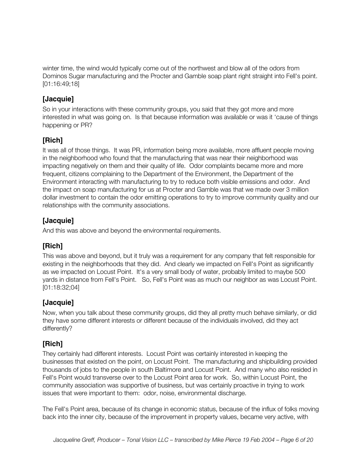winter time, the wind would typically come out of the northwest and blow all of the odors from Dominos Sugar manufacturing and the Procter and Gamble soap plant right straight into Fell's point. [01:16:49;18]

#### **[Jacquie]**

So in your interactions with these community groups, you said that they got more and more interested in what was going on. Is that because information was available or was it 'cause of things happening or PR?

## **[Rich]**

It was all of those things. It was PR, information being more available, more affluent people moving in the neighborhood who found that the manufacturing that was near their neighborhood was impacting negatively on them and their quality of life. Odor complaints became more and more frequent, citizens complaining to the Department of the Environment, the Department of the Environment interacting with manufacturing to try to reduce both visible emissions and odor. And the impact on soap manufacturing for us at Procter and Gamble was that we made over 3 million dollar investment to contain the odor emitting operations to try to improve community quality and our relationships with the community associations.

## **[Jacquie]**

And this was above and beyond the environmental requirements.

## **[Rich]**

This was above and beyond, but it truly was a requirement for any company that felt responsible for existing in the neighborhoods that they did. And clearly we impacted on Fell's Point as significantly as we impacted on Locust Point. It's a very small body of water, probably limited to maybe 500 yards in distance from Fell's Point. So, Fell's Point was as much our neighbor as was Locust Point. [01:18:32;04]

#### **[Jacquie]**

Now, when you talk about these community groups, did they all pretty much behave similarly, or did they have some different interests or different because of the individuals involved, did they act differently?

## **[Rich]**

They certainly had different interests. Locust Point was certainly interested in keeping the businesses that existed on the point, on Locust Point. The manufacturing and shipbuilding provided thousands of jobs to the people in south Baltimore and Locust Point. And many who also resided in Fell's Point would transverse over to the Locust Point area for work. So, within Locust Point, the community association was supportive of business, but was certainly proactive in trying to work issues that were important to them: odor, noise, environmental discharge.

The Fell's Point area, because of its change in economic status, because of the influx of folks moving back into the inner city, because of the improvement in property values, became very active, with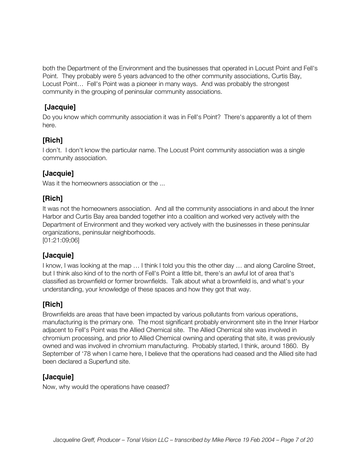both the Department of the Environment and the businesses that operated in Locust Point and Fell's Point. They probably were 5 years advanced to the other community associations, Curtis Bay, Locust Point… Fell's Point was a pioneer in many ways. And was probably the strongest community in the grouping of peninsular community associations.

#### **[Jacquie]**

Do you know which community association it was in Fell's Point? There's apparently a lot of them here.

## **[Rich]**

I don't. I don't know the particular name. The Locust Point community association was a single community association.

## **[Jacquie]**

Was it the homeowners association or the ...

## **[Rich]**

It was not the homeowners association. And all the community associations in and about the Inner Harbor and Curtis Bay area banded together into a coalition and worked very actively with the Department of Environment and they worked very actively with the businesses in these peninsular organizations, peninsular neighborhoods.

[01:21:09;06]

## **[Jacquie]**

I know, I was looking at the map … I think I told you this the other day … and along Caroline Street, but I think also kind of to the north of Fell's Point a little bit, there's an awful lot of area that's classified as brownfield or former brownfields. Talk about what a brownfield is, and what's your understanding, your knowledge of these spaces and how they got that way.

## **[Rich]**

Brownfields are areas that have been impacted by various pollutants from various operations, manufacturing is the primary one. The most significant probably environment site in the Inner Harbor adjacent to Fell's Point was the Allied Chemical site. The Allied Chemical site was involved in chromium processing, and prior to Allied Chemical owning and operating that site, it was previously owned and was involved in chromium manufacturing. Probably started, I think, around 1860. By September of '78 when I came here, I believe that the operations had ceased and the Allied site had been declared a Superfund site.

## **[Jacquie]**

Now, why would the operations have ceased?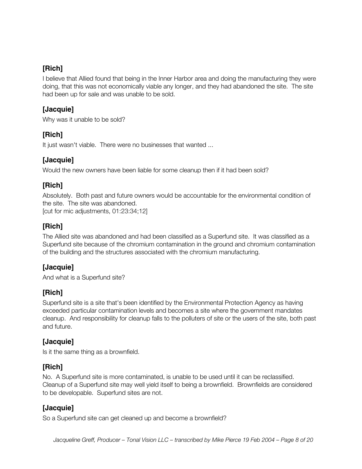I believe that Allied found that being in the Inner Harbor area and doing the manufacturing they were doing, that this was not economically viable any longer, and they had abandoned the site. The site had been up for sale and was unable to be sold.

#### **[Jacquie]**

Why was it unable to be sold?

#### **[Rich]**

It just wasn't viable. There were no businesses that wanted ...

## **[Jacquie]**

Would the new owners have been liable for some cleanup then if it had been sold?

#### **[Rich]**

Absolutely. Both past and future owners would be accountable for the environmental condition of the site. The site was abandoned. [cut for mic adjustments, 01:23:34;12]

## **[Rich]**

The Allied site was abandoned and had been classified as a Superfund site. It was classified as a Superfund site because of the chromium contamination in the ground and chromium contamination of the building and the structures associated with the chromium manufacturing.

## **[Jacquie]**

And what is a Superfund site?

#### **[Rich]**

Superfund site is a site that's been identified by the Environmental Protection Agency as having exceeded particular contamination levels and becomes a site where the government mandates cleanup. And responsibility for cleanup falls to the polluters of site or the users of the site, both past and future.

#### **[Jacquie]**

Is it the same thing as a brownfield.

#### **[Rich]**

No. A Superfund site is more contaminated, is unable to be used until it can be reclassified. Cleanup of a Superfund site may well yield itself to being a brownfield. Brownfields are considered to be developable. Superfund sites are not.

#### **[Jacquie]**

So a Superfund site can get cleaned up and become a brownfield?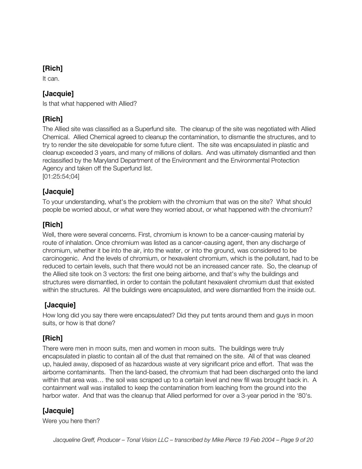It can.

## **[Jacquie]**

Is that what happened with Allied?

## **[Rich]**

The Allied site was classified as a Superfund site. The cleanup of the site was negotiated with Allied Chemical. Allied Chemical agreed to cleanup the contamination, to dismantle the structures, and to try to render the site developable for some future client. The site was encapsulated in plastic and cleanup exceeded 3 years, and many of millions of dollars. And was ultimately dismantled and then reclassified by the Maryland Department of the Environment and the Environmental Protection Agency and taken off the Superfund list. [01:25:54;04]

## **[Jacquie]**

To your understanding, what's the problem with the chromium that was on the site? What should people be worried about, or what were they worried about, or what happened with the chromium?

#### **[Rich]**

Well, there were several concerns. First, chromium is known to be a cancer-causing material by route of inhalation. Once chromium was listed as a cancer-causing agent, then any discharge of chromium, whether it be into the air, into the water, or into the ground, was considered to be carcinogenic. And the levels of chromium, or hexavalent chromium, which is the pollutant, had to be reduced to certain levels, such that there would not be an increased cancer rate. So, the cleanup of the Allied site took on 3 vectors: the first one being airborne, and that's why the buildings and structures were dismantled, in order to contain the pollutant hexavalent chromium dust that existed within the structures. All the buildings were encapsulated, and were dismantled from the inside out.

## **[Jacquie]**

How long did you say there were encapsulated? Did they put tents around them and guys in moon suits, or how is that done?

## **[Rich]**

There were men in moon suits, men and women in moon suits. The buildings were truly encapsulated in plastic to contain all of the dust that remained on the site. All of that was cleaned up, hauled away, disposed of as hazardous waste at very significant price and effort. That was the airborne contaminants. Then the land-based, the chromium that had been discharged onto the land within that area was… the soil was scraped up to a certain level and new fill was brought back in. A containment wall was installed to keep the contamination from leaching from the ground into the harbor water. And that was the cleanup that Allied performed for over a 3-year period in the '80's.

## **[Jacquie]**

Were you here then?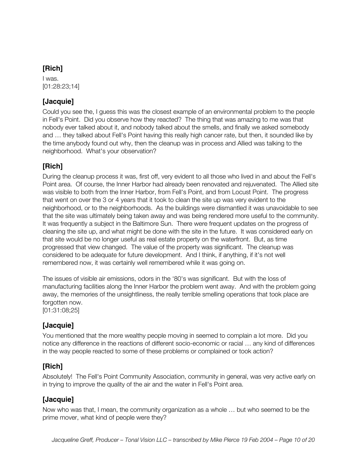I was. [01:28:23;14]

## **[Jacquie]**

Could you see the, I guess this was the closest example of an environmental problem to the people in Fell's Point. Did you observe how they reacted? The thing that was amazing to me was that nobody ever talked about it, and nobody talked about the smells, and finally we asked somebody and … they talked about Fell's Point having this really high cancer rate, but then, it sounded like by the time anybody found out why, then the cleanup was in process and Allied was talking to the neighborhood. What's your observation?

## **[Rich]**

During the cleanup process it was, first off, very evident to all those who lived in and about the Fell's Point area. Of course, the Inner Harbor had already been renovated and rejuvenated. The Allied site was visible to both from the Inner Harbor, from Fell's Point, and from Locust Point. The progress that went on over the 3 or 4 years that it took to clean the site up was very evident to the neighborhood, or to the neighborhoods. As the buildings were dismantled it was unavoidable to see that the site was ultimately being taken away and was being rendered more useful to the community. It was frequently a subject in the Baltimore Sun. There were frequent updates on the progress of cleaning the site up, and what might be done with the site in the future. It was considered early on that site would be no longer useful as real estate property on the waterfront. But, as time progressed that view changed. The value of the property was significant. The cleanup was considered to be adequate for future development. And I think, if anything, if it's not well remembered now, it was certainly well remembered while it was going on.

The issues of visible air emissions, odors in the '80's was significant. But with the loss of manufacturing facilities along the Inner Harbor the problem went away. And with the problem going away, the memories of the unsightliness, the really terrible smelling operations that took place are forgotten now. [01:31:08;25]

#### **[Jacquie]**

You mentioned that the more wealthy people moving in seemed to complain a lot more. Did you notice any difference in the reactions of different socio-economic or racial … any kind of differences in the way people reacted to some of these problems or complained or took action?

## **[Rich]**

Absolutely! The Fell's Point Community Association, community in general, was very active early on in trying to improve the quality of the air and the water in Fell's Point area.

## **[Jacquie]**

Now who was that, I mean, the community organization as a whole … but who seemed to be the prime mover, what kind of people were they?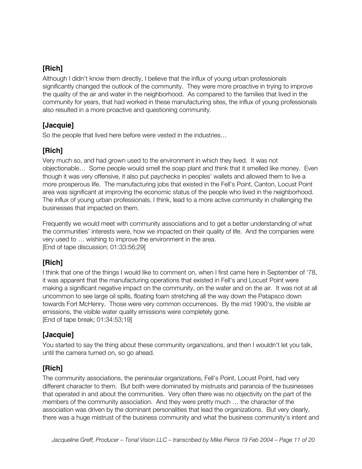Although I didn't know them directly, I believe that the influx of young urban professionals significantly changed the outlook of the community. They were more proactive in trying to improve the quality of the air and water in the neighborhood. As compared to the families that lived in the community for years, that had worked in these manufacturing sites, the influx of young professionals also resulted in a more proactive and questioning community.

#### **[Jacquie]**

So the people that lived here before were vested in the industries…

## **[Rich]**

Very much so, and had grown used to the environment in which they lived. It was not objectionable… Some people would smell the soap plant and think that it smelled like money. Even though it was very offensive, it also put paychecks in peoples' wallets and allowed them to live a more prosperous life. The manufacturing jobs that existed in the Fell's Point, Canton, Locust Point area was significant at improving the economic status of the people who lived in the neighborhood. The influx of young urban professionals, I think, lead to a more active community in challenging the businesses that impacted on them.

Frequently we would meet with community associations and to get a better understanding of what the communities' interests were, how we impacted on their quality of life. And the companies were very used to … wishing to improve the environment in the area. [End of tape discussion; 01:33:56;29]

## **[Rich]**

I think that one of the things I would like to comment on, when I first came here in September of '78, it was apparent that the manufacturing operations that existed in Fell's and Locust Point were making a significant negative impact on the community, on the water and on the air. It was not at all uncommon to see large oil spills, floating foam stretching all the way down the Patapsco down towards Fort McHenry. Those were very common occurrences. By the mid 1990's, the visible air emissions, the visible water quality emissions were completely gone. [End of tape break; 01:34:53;19]

## **[Jacquie]**

You started to say the thing about these community organizations, and then I wouldn't let you talk, until the camera turned on, so go ahead.

## **[Rich]**

The community associations, the peninsular organizations, Fell's Point, Locust Point, had very different character to them. But both were dominated by mistrusts and paranoia of the businesses that operated in and about the communities. Very often there was no objectivity on the part of the members of the community association. And they were pretty much … the character of the association was driven by the dominant personalities that lead the organizations. But very clearly, there was a huge mistrust of the business community and what the business community's intent and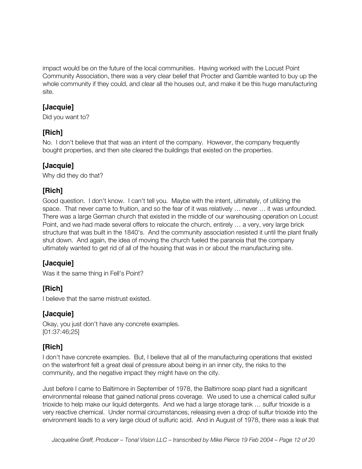impact would be on the future of the local communities. Having worked with the Locust Point Community Association, there was a very clear belief that Procter and Gamble wanted to buy up the whole community if they could, and clear all the houses out, and make it be this huge manufacturing site.

#### **[Jacquie]**

Did you want to?

## **[Rich]**

No. I don't believe that that was an intent of the company. However, the company frequently bought properties, and then site cleared the buildings that existed on the properties.

## **[Jacquie]**

Why did they do that?

## **[Rich]**

Good question. I don't know. I can't tell you. Maybe with the intent, ultimately, of utilizing the space. That never came to fruition, and so the fear of it was relatively ... never ... it was unfounded. There was a large German church that existed in the middle of our warehousing operation on Locust Point, and we had made several offers to relocate the church, entirely … a very, very large brick structure that was built in the 1840's. And the community association resisted it until the plant finally shut down. And again, the idea of moving the church fueled the paranoia that the company ultimately wanted to get rid of all of the housing that was in or about the manufacturing site.

## **[Jacquie]**

Was it the same thing in Fell's Point?

## **[Rich]**

I believe that the same mistrust existed.

#### **[Jacquie]**

Okay, you just don't have any concrete examples. [01:37:46;25]

## **[Rich]**

I don't have concrete examples. But, I believe that all of the manufacturing operations that existed on the waterfront felt a great deal of pressure about being in an inner city, the risks to the community, and the negative impact they might have on the city.

Just before I came to Baltimore in September of 1978, the Baltimore soap plant had a significant environmental release that gained national press coverage. We used to use a chemical called sulfur trioxide to help make our liquid detergents. And we had a large storage tank … sulfur trioxide is a very reactive chemical. Under normal circumstances, releasing even a drop of sulfur trioxide into the environment leads to a very large cloud of sulfuric acid. And in August of 1978, there was a leak that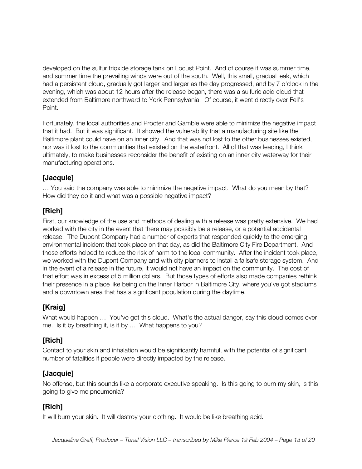developed on the sulfur trioxide storage tank on Locust Point. And of course it was summer time, and summer time the prevailing winds were out of the south. Well, this small, gradual leak, which had a persistent cloud, gradually got larger and larger as the day progressed, and by 7 o'clock in the evening, which was about 12 hours after the release began, there was a sulfuric acid cloud that extended from Baltimore northward to York Pennsylvania. Of course, it went directly over Fell's Point.

Fortunately, the local authorities and Procter and Gamble were able to minimize the negative impact that it had. But it was significant. It showed the vulnerability that a manufacturing site like the Baltimore plant could have on an inner city. And that was not lost to the other businesses existed, nor was it lost to the communities that existed on the waterfront. All of that was leading, I think ultimately, to make businesses reconsider the benefit of existing on an inner city waterway for their manufacturing operations.

## **[Jacquie]**

… You said the company was able to minimize the negative impact. What do you mean by that? How did they do it and what was a possible negative impact?

## **[Rich]**

First, our knowledge of the use and methods of dealing with a release was pretty extensive. We had worked with the city in the event that there may possibly be a release, or a potential accidental release. The Dupont Company had a number of experts that responded quickly to the emerging environmental incident that took place on that day, as did the Baltimore City Fire Department. And those efforts helped to reduce the risk of harm to the local community. After the incident took place, we worked with the Dupont Company and with city planners to install a failsafe storage system. And in the event of a release in the future, it would not have an impact on the community. The cost of that effort was in excess of 5 million dollars. But those types of efforts also made companies rethink their presence in a place like being on the Inner Harbor in Baltimore City, where you've got stadiums and a downtown area that has a significant population during the daytime.

## **[Kraig]**

What would happen ... You've got this cloud. What's the actual danger, say this cloud comes over me. Is it by breathing it, is it by … What happens to you?

## **[Rich]**

Contact to your skin and inhalation would be significantly harmful, with the potential of significant number of fatalities if people were directly impacted by the release.

## **[Jacquie]**

No offense, but this sounds like a corporate executive speaking. Is this going to burn my skin, is this going to give me pneumonia?

## **[Rich]**

It will burn your skin. It will destroy your clothing. It would be like breathing acid.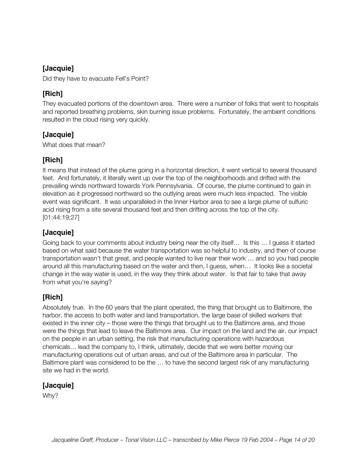#### **[Jacquie]**

Did they have to evacuate Fell's Point?

#### **[Rich]**

They evacuated portions of the downtown area. There were a number of folks that went to hospitals and reported breathing problems, skin burning issue problems. Fortunately, the ambient conditions resulted in the cloud rising very quickly.

#### **[Jacquie]**

What does that mean?

#### **[Rich]**

It means that instead of the plume going in a horizontal direction, it went vertical to several thousand feet. And fortunately, it literally went up over the top of the neighborhoods and drifted with the prevailing winds northward towards York Pennsylvania. Of course, the plume continued to gain in elevation as it progressed northward so the outlying areas were much less impacted. The visible event was significant. It was unparalleled in the Inner Harbor area to see a large plume of sulfuric acid rising from a site several thousand feet and then drifting across the top of the city. [01:44:19;27]

#### **[Jacquie]**

Going back to your comments about industry being near the city itself… Is this … I guess it started based on what said because the water transportation was so helpful to industry, and then of course transportation wasn't that great, and people wanted to live near their work … and so you had people around all this manufacturing based on the water and then, I guess, when… It looks like a societal change in the way water is used, in the way they think about water. Is that fair to take that away from what you're saying?

#### **[Rich]**

Absolutely true. In the 60 years that the plant operated, the thing that brought us to Baltimore, the harbor, the access to both water and land transportation, the large base of skilled workers that existed in the inner city – those were the things that brought us to the Baltimore area, and those were the things that lead to leave the Baltimore area. Our impact on the land and the air, our impact on the people in an urban setting, the risk that manufacturing operations with hazardous chemicals… lead the company to, I think, ultimately, decide that we were better moving our manufacturing operations out of urban areas, and out of the Baltimore area in particular. The Baltimore plant was considered to be the … to have the second largest risk of any manufacturing site we had in the world.

#### **[Jacquie]**

Why?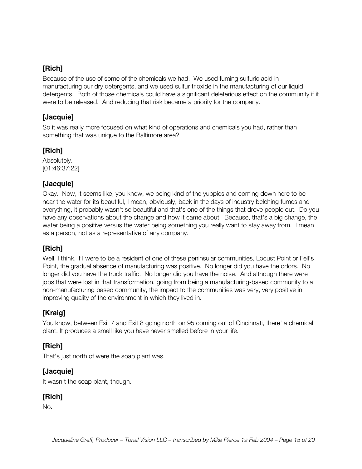Because of the use of some of the chemicals we had. We used fuming sulfuric acid in manufacturing our dry detergents, and we used sulfur trioxide in the manufacturing of our liquid detergents. Both of those chemicals could have a significant deleterious effect on the community if it were to be released. And reducing that risk became a priority for the company.

#### **[Jacquie]**

So it was really more focused on what kind of operations and chemicals you had, rather than something that was unique to the Baltimore area?

## **[Rich]**

Absolutely. [01:46:37;22]

#### **[Jacquie]**

Okay. Now, it seems like, you know, we being kind of the yuppies and coming down here to be near the water for its beautiful, I mean, obviously, back in the days of industry belching fumes and everything, it probably wasn't so beautiful and that's one of the things that drove people out. Do you have any observations about the change and how it came about. Because, that's a big change, the water being a positive versus the water being something you really want to stay away from. I mean as a person, not as a representative of any company.

## **[Rich]**

Well, I think, if I were to be a resident of one of these peninsular communities, Locust Point or Fell's Point, the gradual absence of manufacturing was positive. No longer did you have the odors. No longer did you have the truck traffic. No longer did you have the noise. And although there were jobs that were lost in that transformation, going from being a manufacturing-based community to a non-manufacturing based community, the impact to the communities was very, very positive in improving quality of the environment in which they lived in.

## **[Kraig]**

You know, between Exit 7 and Exit 8 going north on 95 coming out of Cincinnati, there' a chemical plant. It produces a smell like you have never smelled before in your life.

## **[Rich]**

That's just north of were the soap plant was.

## **[Jacquie]**

It wasn't the soap plant, though.

## **[Rich]**

No.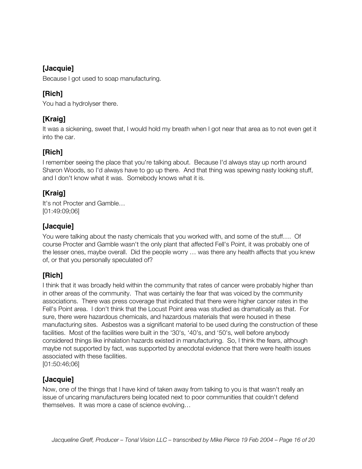#### **[Jacquie]**

Because I got used to soap manufacturing.

## **[Rich]**

You had a hydrolyser there.

## **[Kraig]**

It was a sickening, sweet that, I would hold my breath when I got near that area as to not even get it into the car.

## **[Rich]**

I remember seeing the place that you're talking about. Because I'd always stay up north around Sharon Woods, so I'd always have to go up there. And that thing was spewing nasty looking stuff, and I don't know what it was. Somebody knows what it is.

## **[Kraig]**

It's not Procter and Gamble… [01:49:09;06]

#### **[Jacquie]**

You were talking about the nasty chemicals that you worked with, and some of the stuff…. Of course Procter and Gamble wasn't the only plant that affected Fell's Point, it was probably one of the lesser ones, maybe overall. Did the people worry … was there any health affects that you knew of, or that you personally speculated of?

## **[Rich]**

I think that it was broadly held within the community that rates of cancer were probably higher than in other areas of the community. That was certainly the fear that was voiced by the community associations. There was press coverage that indicated that there were higher cancer rates in the Fell's Point area. I don't think that the Locust Point area was studied as dramatically as that. For sure, there were hazardous chemicals, and hazardous materials that were housed in these manufacturing sites. Asbestos was a significant material to be used during the construction of these facilities. Most of the facilities were built in the '30's, '40's, and '50's, well before anybody considered things like inhalation hazards existed in manufacturing. So, I think the fears, although maybe not supported by fact, was supported by anecdotal evidence that there were health issues associated with these facilities.

[01:50:46;06]

#### **[Jacquie]**

Now, one of the things that I have kind of taken away from talking to you is that wasn't really an issue of uncaring manufacturers being located next to poor communities that couldn't defend themselves. It was more a case of science evolving…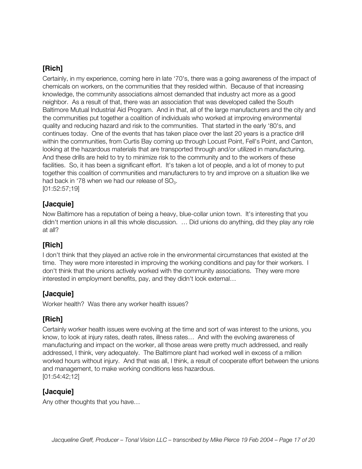Certainly, in my experience, coming here in late '70's, there was a going awareness of the impact of chemicals on workers, on the communities that they resided within. Because of that increasing knowledge, the community associations almost demanded that industry act more as a good neighbor. As a result of that, there was an association that was developed called the South Baltimore Mutual Industrial Aid Program. And in that, all of the large manufacturers and the city and the communities put together a coalition of individuals who worked at improving environmental quality and reducing hazard and risk to the communities. That started in the early '80's, and continues today. One of the events that has taken place over the last 20 years is a practice drill within the communities, from Curtis Bay coming up through Locust Point, Fell's Point, and Canton, looking at the hazardous materials that are transported through and/or utilized in manufacturing. And these drills are held to try to minimize risk to the community and to the workers of these facilities. So, it has been a significant effort. It's taken a lot of people, and a lot of money to put together this coalition of communities and manufacturers to try and improve on a situation like we had back in '78 when we had our release of  $SO<sub>3</sub>$ . [01:52:57;19]

#### **[Jacquie]**

Now Baltimore has a reputation of being a heavy, blue-collar union town. It's interesting that you didn't mention unions in all this whole discussion. … Did unions do anything, did they play any role at all?

#### **[Rich]**

I don't think that they played an active role in the environmental circumstances that existed at the time. They were more interested in improving the working conditions and pay for their workers. I don't think that the unions actively worked with the community associations. They were more interested in employment benefits, pay, and they didn't look external…

#### **[Jacquie]**

Worker health? Was there any worker health issues?

#### **[Rich]**

Certainly worker health issues were evolving at the time and sort of was interest to the unions, you know, to look at injury rates, death rates, illness rates… And with the evolving awareness of manufacturing and impact on the worker, all those areas were pretty much addressed, and really addressed, I think, very adequately. The Baltimore plant had worked well in excess of a million worked hours without injury. And that was all, I think, a result of cooperate effort between the unions and management, to make working conditions less hazardous. [01:54:42;12]

#### **[Jacquie]**

Any other thoughts that you have…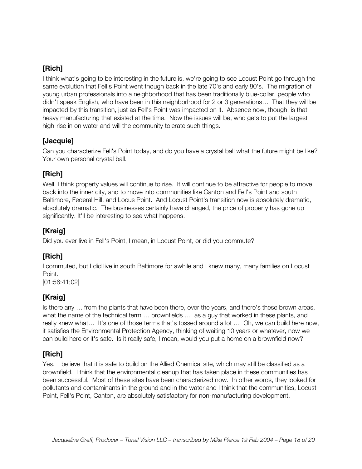I think what's going to be interesting in the future is, we're going to see Locust Point go through the same evolution that Fell's Point went though back in the late 70's and early 80's. The migration of young urban professionals into a neighborhood that has been traditionally blue-collar, people who didn't speak English, who have been in this neighborhood for 2 or 3 generations… That they will be impacted by this transition, just as Fell's Point was impacted on it. Absence now, though, is that heavy manufacturing that existed at the time. Now the issues will be, who gets to put the largest high-rise in on water and will the community tolerate such things.

#### **[Jacquie]**

Can you characterize Fell's Point today, and do you have a crystal ball what the future might be like? Your own personal crystal ball.

#### **[Rich]**

Well, I think property values will continue to rise. It will continue to be attractive for people to move back into the inner city, and to move into communities like Canton and Fell's Point and south Baltimore, Federal Hill, and Locus Point. And Locust Point's transition now is absolutely dramatic, absolutely dramatic. The businesses certainly have changed, the price of property has gone up significantly. It'll be interesting to see what happens.

## **[Kraig]**

Did you ever live in Fell's Point, I mean, in Locust Point, or did you commute?

## **[Rich]**

I commuted, but I did live in south Baltimore for awhile and I knew many, many families on Locust Point.

[01:56:41;02]

## **[Kraig]**

Is there any … from the plants that have been there, over the years, and there's these brown areas, what the name of the technical term ... brownfields ... as a guy that worked in these plants, and really knew what… It's one of those terms that's tossed around a lot … Oh, we can build here now, it satisfies the Environmental Protection Agency, thinking of waiting 10 years or whatever, now we can build here or it's safe. Is it really safe, I mean, would you put a home on a brownfield now?

## **[Rich]**

Yes. I believe that it is safe to build on the Allied Chemical site, which may still be classified as a brownfield. I think that the environmental cleanup that has taken place in these communities has been successful. Most of these sites have been characterized now. In other words, they looked for pollutants and contaminants in the ground and in the water and I think that the communities, Locust Point, Fell's Point, Canton, are absolutely satisfactory for non-manufacturing development.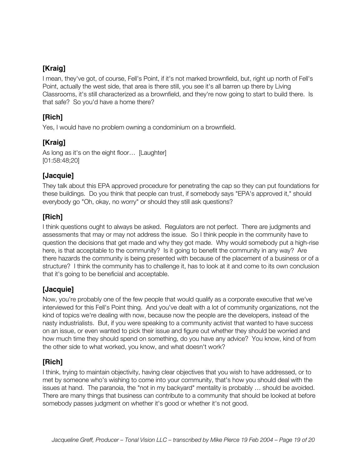## **[Kraig]**

I mean, they've got, of course, Fell's Point, if it's not marked brownfield, but, right up north of Fell's Point, actually the west side, that area is there still, you see it's all barren up there by Living Classrooms, it's still characterized as a brownfield, and they're now going to start to build there. Is that safe? So you'd have a home there?

#### **[Rich]**

Yes, I would have no problem owning a condominium on a brownfield.

## **[Kraig]**

As long as it's on the eight floor... [Laughter] [01:58:48;20]

#### **[Jacquie]**

They talk about this EPA approved procedure for penetrating the cap so they can put foundations for these buildings. Do you think that people can trust, if somebody says "EPA's approved it," should everybody go "Oh, okay, no worry" or should they still ask questions?

## **[Rich]**

I think questions ought to always be asked. Regulators are not perfect. There are judgments and assessments that may or may not address the issue. So I think people in the community have to question the decisions that get made and why they got made. Why would somebody put a high-rise here, is that acceptable to the community? Is it going to benefit the community in any way? Are there hazards the community is being presented with because of the placement of a business or of a structure? I think the community has to challenge it, has to look at it and come to its own conclusion that it's going to be beneficial and acceptable.

## **[Jacquie]**

Now, you're probably one of the few people that would qualify as a corporate executive that we've interviewed for this Fell's Point thing. And you've dealt with a lot of community organizations, not the kind of topics we're dealing with now, because now the people are the developers, instead of the nasty industrialists. But, if you were speaking to a community activist that wanted to have success on an issue, or even wanted to pick their issue and figure out whether they should be worried and how much time they should spend on something, do you have any advice? You know, kind of from the other side to what worked, you know, and what doesn't work?

#### **[Rich]**

I think, trying to maintain objectivity, having clear objectives that you wish to have addressed, or to met by someone who's wishing to come into your community, that's how you should deal with the issues at hand. The paranoia, the "not in my backyard" mentality is probably … should be avoided. There are many things that business can contribute to a community that should be looked at before somebody passes judgment on whether it's good or whether it's not good.